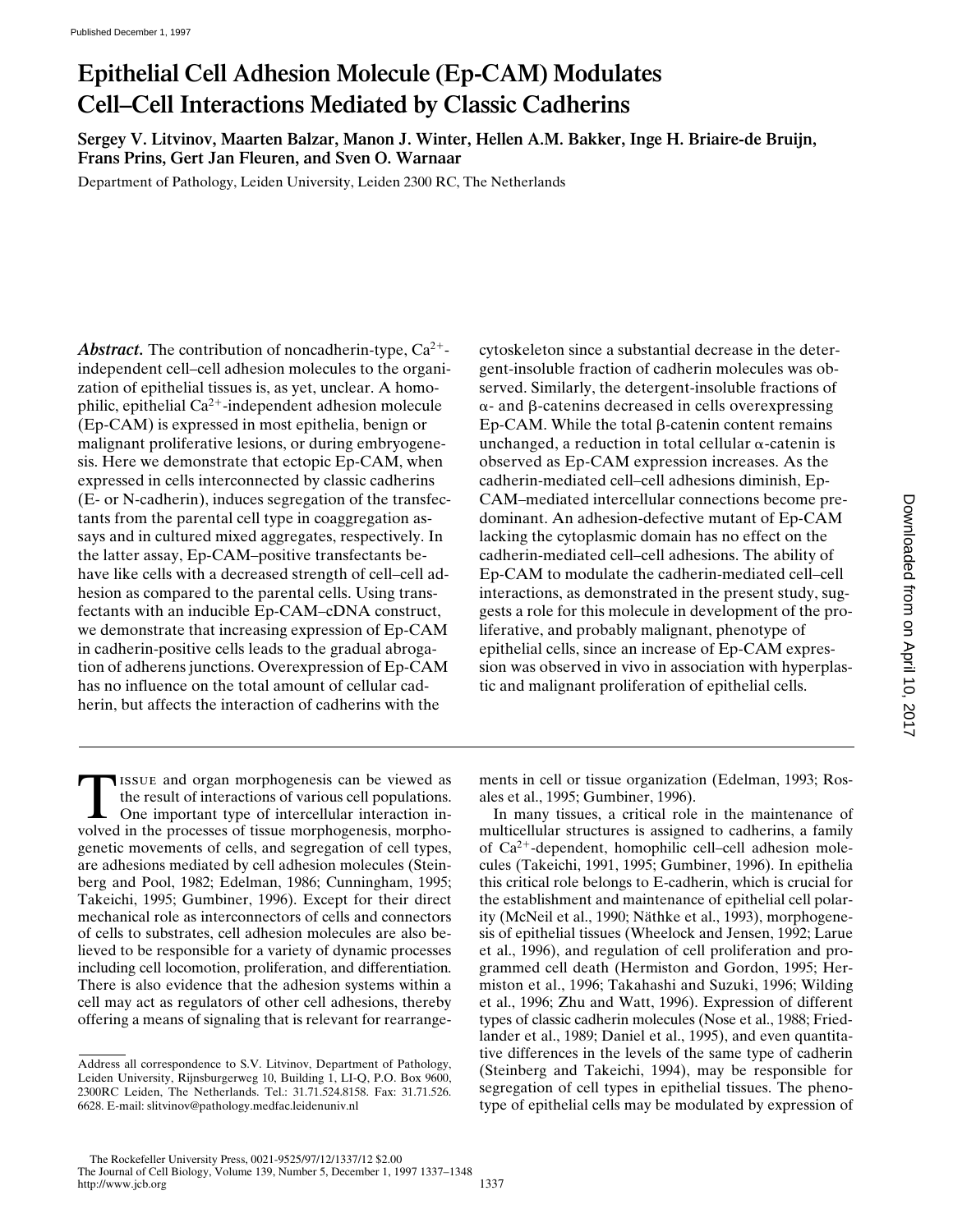# **Epithelial Cell Adhesion Molecule (Ep-CAM) Modulates Cell–Cell Interactions Mediated by Classic Cadherins**

**Sergey V. Litvinov, Maarten Balzar, Manon J. Winter, Hellen A.M. Bakker, Inge H. Briaire-de Bruijn, Frans Prins, Gert Jan Fleuren, and Sven O. Warnaar**

Department of Pathology, Leiden University, Leiden 2300 RC, The Netherlands

Abstract. The contribution of noncadherin-type, Ca<sup>2+</sup>independent cell–cell adhesion molecules to the organization of epithelial tissues is, as yet, unclear. A homophilic, epithelial  $Ca^{2+}$ -independent adhesion molecule (Ep-CAM) is expressed in most epithelia, benign or malignant proliferative lesions, or during embryogenesis. Here we demonstrate that ectopic Ep-CAM, when expressed in cells interconnected by classic cadherins (E- or N-cadherin), induces segregation of the transfectants from the parental cell type in coaggregation assays and in cultured mixed aggregates, respectively. In the latter assay, Ep-CAM–positive transfectants behave like cells with a decreased strength of cell–cell adhesion as compared to the parental cells. Using transfectants with an inducible Ep-CAM–cDNA construct, we demonstrate that increasing expression of Ep-CAM in cadherin-positive cells leads to the gradual abrogation of adherens junctions. Overexpression of Ep-CAM has no influence on the total amount of cellular cadherin, but affects the interaction of cadherins with the

cytoskeleton since a substantial decrease in the detergent-insoluble fraction of cadherin molecules was observed. Similarly, the detergent-insoluble fractions of  $\alpha$ - and  $\beta$ -catenins decreased in cells overexpressing  $Ep-CAM$ . While the total  $\beta$ -catenin content remains unchanged, a reduction in total cellular  $\alpha$ -catenin is observed as Ep-CAM expression increases. As the cadherin-mediated cell–cell adhesions diminish, Ep-CAM–mediated intercellular connections become predominant. An adhesion-defective mutant of Ep-CAM lacking the cytoplasmic domain has no effect on the cadherin-mediated cell–cell adhesions. The ability of Ep-CAM to modulate the cadherin-mediated cell–cell interactions, as demonstrated in the present study, suggests a role for this molecule in development of the proliferative, and probably malignant, phenotype of epithelial cells, since an increase of Ep-CAM expression was observed in vivo in association with hyperplastic and malignant proliferation of epithelial cells.

TISSUE and organ morphogenesis can be viewed as<br>the result of interactions of various cell populations.<br>One important type of intercellular interaction in-<br>volved in the processes of tissue morphogenesis morphothe result of interactions of various cell populations. volved in the processes of tissue morphogenesis, morphogenetic movements of cells, and segregation of cell types, are adhesions mediated by cell adhesion molecules (Steinberg and Pool, 1982; Edelman, 1986; Cunningham, 1995; Takeichi, 1995; Gumbiner, 1996). Except for their direct mechanical role as interconnectors of cells and connectors of cells to substrates, cell adhesion molecules are also believed to be responsible for a variety of dynamic processes including cell locomotion, proliferation, and differentiation. There is also evidence that the adhesion systems within a cell may act as regulators of other cell adhesions, thereby offering a means of signaling that is relevant for rearrange-

ments in cell or tissue organization (Edelman, 1993; Rosales et al., 1995; Gumbiner, 1996).

In many tissues, a critical role in the maintenance of multicellular structures is assigned to cadherins, a family of  $Ca^{2+}$ -dependent, homophilic cell–cell adhesion molecules (Takeichi, 1991, 1995; Gumbiner, 1996). In epithelia this critical role belongs to E-cadherin, which is crucial for the establishment and maintenance of epithelial cell polarity (McNeil et al., 1990; Näthke et al., 1993), morphogenesis of epithelial tissues (Wheelock and Jensen, 1992; Larue et al., 1996), and regulation of cell proliferation and programmed cell death (Hermiston and Gordon, 1995; Hermiston et al., 1996; Takahashi and Suzuki, 1996; Wilding et al., 1996; Zhu and Watt, 1996). Expression of different types of classic cadherin molecules (Nose et al., 1988; Friedlander et al., 1989; Daniel et al., 1995), and even quantitative differences in the levels of the same type of cadherin (Steinberg and Takeichi, 1994), may be responsible for segregation of cell types in epithelial tissues. The phenotype of epithelial cells may be modulated by expression of

Address all correspondence to S.V. Litvinov, Department of Pathology, Leiden University, Rijnsburgerweg 10, Building 1, LI-Q, P.O. Box 9600, 2300RC Leiden, The Netherlands. Tel.: 31.71.524.8158. Fax: 31.71.526. 6628. E-mail: slitvinov@pathology.medfac.leidenuniv.nl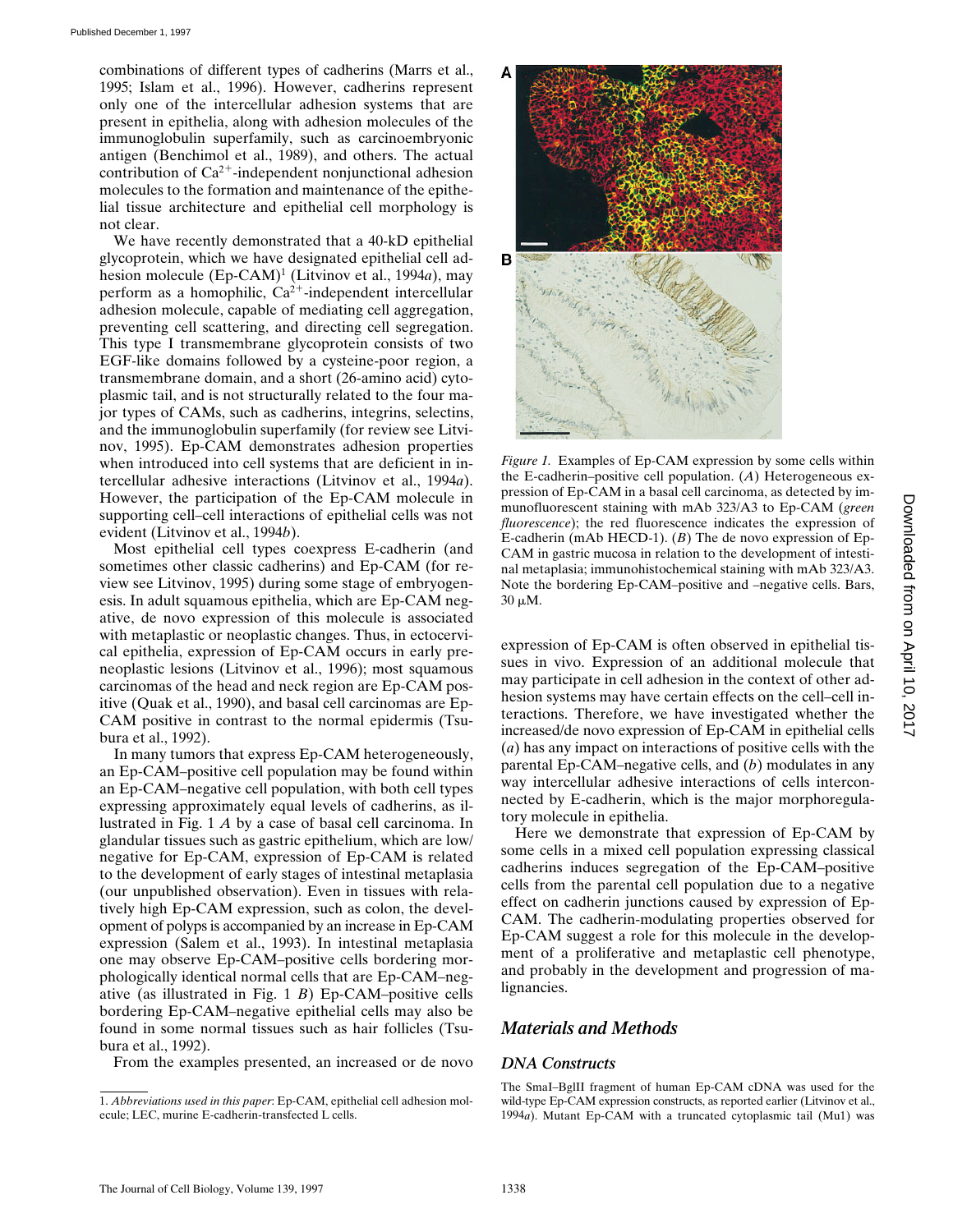combinations of different types of cadherins (Marrs et al., 1995; Islam et al., 1996). However, cadherins represent only one of the intercellular adhesion systems that are present in epithelia, along with adhesion molecules of the immunoglobulin superfamily, such as carcinoembryonic antigen (Benchimol et al., 1989), and others. The actual contribution of  $Ca^{2+}$ -independent nonjunctional adhesion molecules to the formation and maintenance of the epithelial tissue architecture and epithelial cell morphology is not clear.

We have recently demonstrated that a 40-kD epithelial glycoprotein, which we have designated epithelial cell adhesion molecule (Ep-CAM)<sup>1</sup> (Litvinov et al., 1994*a*), may perform as a homophilic,  $Ca^{2+}$ -independent intercellular adhesion molecule, capable of mediating cell aggregation, preventing cell scattering, and directing cell segregation. This type I transmembrane glycoprotein consists of two EGF-like domains followed by a cysteine-poor region, a transmembrane domain, and a short (26-amino acid) cytoplasmic tail, and is not structurally related to the four major types of CAMs, such as cadherins, integrins, selectins, and the immunoglobulin superfamily (for review see Litvinov, 1995). Ep-CAM demonstrates adhesion properties when introduced into cell systems that are deficient in intercellular adhesive interactions (Litvinov et al., 1994*a*). However, the participation of the Ep-CAM molecule in supporting cell–cell interactions of epithelial cells was not evident (Litvinov et al., 1994*b*).

Most epithelial cell types coexpress E-cadherin (and sometimes other classic cadherins) and Ep-CAM (for review see Litvinov, 1995) during some stage of embryogenesis. In adult squamous epithelia, which are Ep-CAM negative, de novo expression of this molecule is associated with metaplastic or neoplastic changes. Thus, in ectocervical epithelia, expression of Ep-CAM occurs in early preneoplastic lesions (Litvinov et al., 1996); most squamous carcinomas of the head and neck region are Ep-CAM positive (Quak et al., 1990), and basal cell carcinomas are Ep-CAM positive in contrast to the normal epidermis (Tsubura et al., 1992).

In many tumors that express Ep-CAM heterogeneously, an Ep-CAM–positive cell population may be found within an Ep-CAM–negative cell population, with both cell types expressing approximately equal levels of cadherins, as illustrated in Fig. 1 *A* by a case of basal cell carcinoma. In glandular tissues such as gastric epithelium, which are low/ negative for Ep-CAM, expression of Ep-CAM is related to the development of early stages of intestinal metaplasia (our unpublished observation). Even in tissues with relatively high Ep-CAM expression, such as colon, the development of polyps is accompanied by an increase in Ep-CAM expression (Salem et al., 1993). In intestinal metaplasia one may observe Ep-CAM–positive cells bordering morphologically identical normal cells that are Ep-CAM–negative (as illustrated in Fig. 1 *B*) Ep-CAM–positive cells bordering Ep-CAM–negative epithelial cells may also be found in some normal tissues such as hair follicles (Tsubura et al., 1992).

From the examples presented, an increased or de novo



*Figure 1.* Examples of Ep-CAM expression by some cells within the E-cadherin–positive cell population. (*A*) Heterogeneous expression of Ep-CAM in a basal cell carcinoma, as detected by immunofluorescent staining with mAb 323/A3 to Ep-CAM (*green fluorescence*); the red fluorescence indicates the expression of E-cadherin (mAb HECD-1). (*B*) The de novo expression of Ep-CAM in gastric mucosa in relation to the development of intestinal metaplasia; immunohistochemical staining with mAb 323/A3. Note the bordering Ep-CAM–positive and –negative cells. Bars,  $30 \mu M$ .

expression of Ep-CAM is often observed in epithelial tissues in vivo. Expression of an additional molecule that may participate in cell adhesion in the context of other adhesion systems may have certain effects on the cell–cell interactions. Therefore, we have investigated whether the increased/de novo expression of Ep-CAM in epithelial cells (*a*) has any impact on interactions of positive cells with the parental Ep-CAM–negative cells, and (*b*) modulates in any way intercellular adhesive interactions of cells interconnected by E-cadherin, which is the major morphoregulatory molecule in epithelia.

Here we demonstrate that expression of Ep-CAM by some cells in a mixed cell population expressing classical cadherins induces segregation of the Ep-CAM–positive cells from the parental cell population due to a negative effect on cadherin junctions caused by expression of Ep-CAM. The cadherin-modulating properties observed for Ep-CAM suggest a role for this molecule in the development of a proliferative and metaplastic cell phenotype, and probably in the development and progression of malignancies.

# *Materials and Methods*

# *DNA Constructs*

The SmaI–BglII fragment of human Ep-CAM cDNA was used for the wild-type Ep-CAM expression constructs, as reported earlier (Litvinov et al., 1994*a*). Mutant Ep-CAM with a truncated cytoplasmic tail (Mu1) was

<sup>1.</sup> *Abbreviations used in this paper*: Ep-CAM, epithelial cell adhesion molecule; LEC, murine E-cadherin-transfected L cells.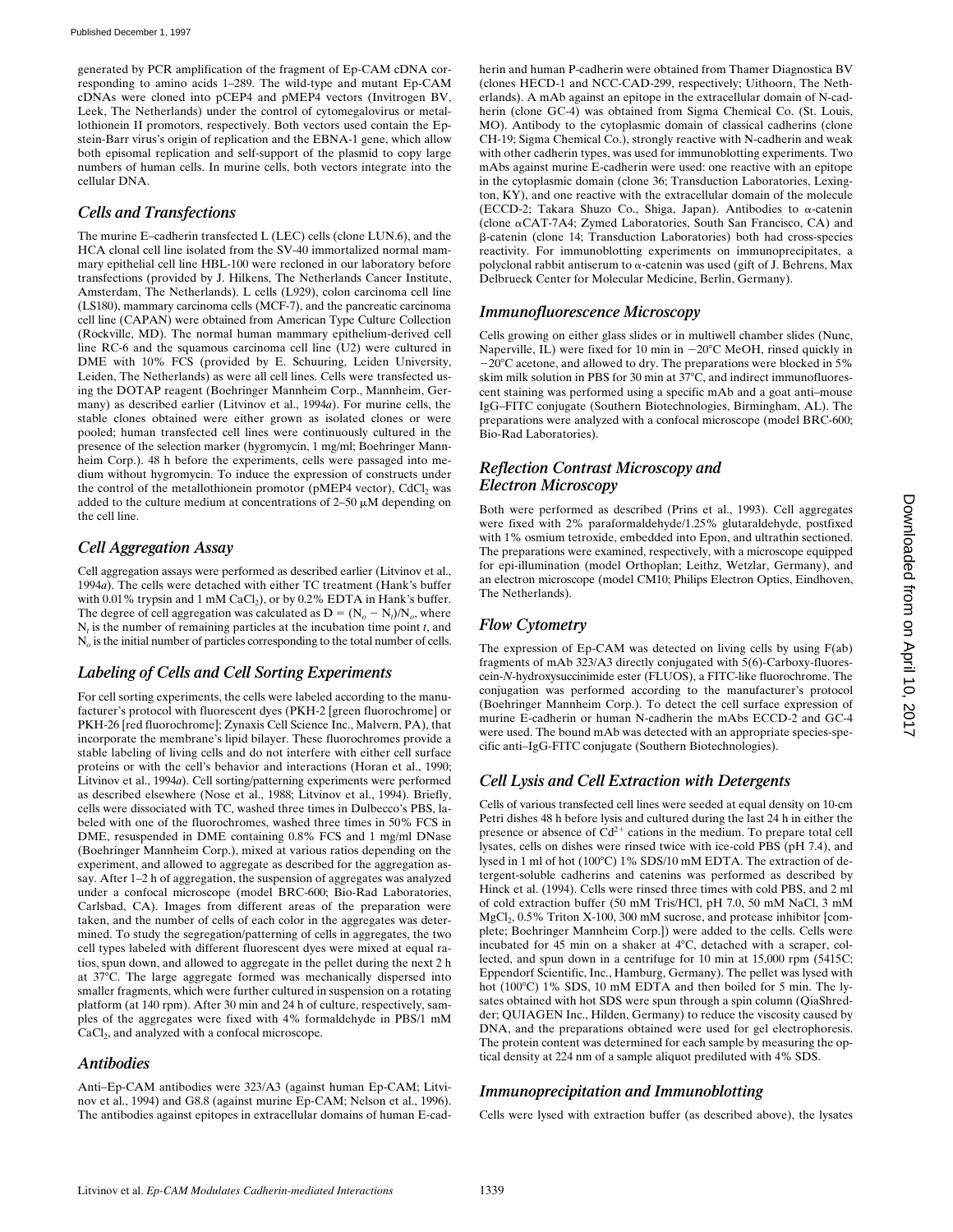generated by PCR amplification of the fragment of Ep-CAM cDNA corresponding to amino acids 1–289. The wild-type and mutant Ep-CAM cDNAs were cloned into pCEP4 and pMEP4 vectors (Invitrogen BV, Leek, The Netherlands) under the control of cytomegalovirus or metallothionein II promotors, respectively. Both vectors used contain the Epstein-Barr virus's origin of replication and the EBNA-1 gene, which allow both episomal replication and self-support of the plasmid to copy large numbers of human cells. In murine cells, both vectors integrate into the cellular DNA.

#### *Cells and Transfections*

The murine E–cadherin transfected L (LEC) cells (clone LUN.6), and the HCA clonal cell line isolated from the SV-40 immortalized normal mammary epithelial cell line HBL-100 were recloned in our laboratory before transfections (provided by J. Hilkens, The Netherlands Cancer Institute, Amsterdam, The Netherlands). L cells (L929), colon carcinoma cell line (LS180), mammary carcinoma cells (MCF-7), and the pancreatic carcinoma cell line (CAPAN) were obtained from American Type Culture Collection (Rockville, MD). The normal human mammary epithelium-derived cell line RC-6 and the squamous carcinoma cell line (U2) were cultured in DME with 10% FCS (provided by E. Schuuring, Leiden University, Leiden, The Netherlands) as were all cell lines. Cells were transfected using the DOTAP reagent (Boehringer Mannheim Corp., Mannheim, Germany) as described earlier (Litvinov et al., 1994*a*). For murine cells, the stable clones obtained were either grown as isolated clones or were pooled; human transfected cell lines were continuously cultured in the presence of the selection marker (hygromycin, 1 mg/ml; Boehringer Mannheim Corp.). 48 h before the experiments, cells were passaged into medium without hygromycin. To induce the expression of constructs under the control of the metallothionein promotor (pMEP4 vector),  $CdCl<sub>2</sub>$  was added to the culture medium at concentrations of  $2-50 \mu M$  depending on the cell line.

# *Cell Aggregation Assay*

Cell aggregation assays were performed as described earlier (Litvinov et al., 1994*a*). The cells were detached with either TC treatment (Hank's buffer with 0.01% trypsin and 1 mM CaCl<sub>2</sub>), or by 0.2% EDTA in Hank's buffer. The degree of cell aggregation was calculated as  $D = (N_o - N_t)/N_o$ , where  $N_t$  is the number of remaining particles at the incubation time point  $t$ , and N*o* is the initial number of particles corresponding to the total number of cells.

# *Labeling of Cells and Cell Sorting Experiments*

For cell sorting experiments, the cells were labeled according to the manufacturer's protocol with fluorescent dyes (PKH-2 [green fluorochrome] or PKH-26 [red fluorochrome]; Zynaxis Cell Science Inc., Malvern, PA), that incorporate the membrane's lipid bilayer. These fluorochromes provide a stable labeling of living cells and do not interfere with either cell surface proteins or with the cell's behavior and interactions (Horan et al., 1990; Litvinov et al., 1994*a*). Cell sorting/patterning experiments were performed as described elsewhere (Nose et al., 1988; Litvinov et al., 1994). Briefly, cells were dissociated with TC, washed three times in Dulbecco's PBS, labeled with one of the fluorochromes, washed three times in 50% FCS in DME, resuspended in DME containing 0.8% FCS and 1 mg/ml DNase (Boehringer Mannheim Corp.), mixed at various ratios depending on the experiment, and allowed to aggregate as described for the aggregation assay. After 1–2 h of aggregation, the suspension of aggregates was analyzed under a confocal microscope (model BRC-600; Bio-Rad Laboratories, Carlsbad, CA). Images from different areas of the preparation were taken, and the number of cells of each color in the aggregates was determined. To study the segregation/patterning of cells in aggregates, the two cell types labeled with different fluorescent dyes were mixed at equal ratios, spun down, and allowed to aggregate in the pellet during the next 2 h at 37°C. The large aggregate formed was mechanically dispersed into smaller fragments, which were further cultured in suspension on a rotating platform (at 140 rpm). After 30 min and 24 h of culture, respectively, samples of the aggregates were fixed with 4% formaldehyde in PBS/1 mM CaCl<sub>2</sub>, and analyzed with a confocal microscope.

#### *Antibodies*

Anti–Ep-CAM antibodies were 323/A3 (against human Ep-CAM; Litvinov et al., 1994) and G8.8 (against murine Ep-CAM; Nelson et al., 1996). The antibodies against epitopes in extracellular domains of human E-cad-

herin and human P-cadherin were obtained from Thamer Diagnostica BV (clones HECD-1 and NCC-CAD-299, respectively; Uithoorn, The Netherlands). A mAb against an epitope in the extracellular domain of N-cadherin (clone GC-4) was obtained from Sigma Chemical Co. (St. Louis, MO). Antibody to the cytoplasmic domain of classical cadherins (clone CH-19; Sigma Chemical Co.), strongly reactive with N-cadherin and weak with other cadherin types, was used for immunoblotting experiments. Two mAbs against murine E-cadherin were used: one reactive with an epitope in the cytoplasmic domain (clone 36; Transduction Laboratories, Lexington, KY), and one reactive with the extracellular domain of the molecule (ECCD-2; Takara Shuzo Co., Shiga, Japan). Antibodies to  $\alpha$ -catenin (clone aCAT-7A4; Zymed Laboratories, South San Francisco, CA) and b-catenin (clone 14; Transduction Laboratories) both had cross-species reactivity. For immunoblotting experiments on immunoprecipitates, a polyclonal rabbit antiserum to  $\alpha$ -catenin was used (gift of J. Behrens, Max Delbrueck Center for Molecular Medicine, Berlin, Germany).

# *Immunofluorescence Microscopy*

Cells growing on either glass slides or in multiwell chamber slides (Nunc, Naperville, IL) were fixed for 10 min in  $-20^{\circ}$ C MeOH, rinsed quickly in  $-20^{\circ}$ C acetone, and allowed to dry. The preparations were blocked in 5% skim milk solution in PBS for 30 min at 37°C, and indirect immunofluorescent staining was performed using a specific mAb and a goat anti–mouse IgG–FITC conjugate (Southern Biotechnologies, Birmingham, AL). The preparations were analyzed with a confocal microscope (model BRC-600; Bio-Rad Laboratories).

# *Reflection Contrast Microscopy and Electron Microscopy*

Both were performed as described (Prins et al., 1993). Cell aggregates were fixed with 2% paraformaldehyde/1.25% glutaraldehyde, postfixed with 1% osmium tetroxide, embedded into Epon, and ultrathin sectioned. The preparations were examined, respectively, with a microscope equipped for epi-illumination (model Orthoplan; Leithz, Wetzlar, Germany), and an electron microscope (model CM10; Philips Electron Optics, Eindhoven, The Netherlands).

# *Flow Cytometry*

The expression of Ep-CAM was detected on living cells by using F(ab) fragments of mAb 323/A3 directly conjugated with 5(6)-Carboxy-fluorescein-*N*-hydroxysuccinimide ester (FLUOS), a FITC-like fluorochrome. The conjugation was performed according to the manufacturer's protocol (Boehringer Mannheim Corp.). To detect the cell surface expression of murine E-cadherin or human N-cadherin the mAbs ECCD-2 and GC-4 were used. The bound mAb was detected with an appropriate species-specific anti–IgG-FITC conjugate (Southern Biotechnologies).

# *Cell Lysis and Cell Extraction with Detergents*

Cells of various transfected cell lines were seeded at equal density on 10-cm Petri dishes 48 h before lysis and cultured during the last 24 h in either the presence or absence of  $Cd^{2+}$  cations in the medium. To prepare total cell lysates, cells on dishes were rinsed twice with ice-cold PBS (pH 7.4), and lysed in 1 ml of hot (100°C) 1% SDS/10 mM EDTA. The extraction of detergent-soluble cadherins and catenins was performed as described by Hinck et al. (1994). Cells were rinsed three times with cold PBS, and 2 ml of cold extraction buffer (50 mM Tris/HCl, pH 7.0, 50 mM NaCl, 3 mM  $MgCl<sub>2</sub>$ , 0.5% Triton X-100, 300 mM sucrose, and protease inhibitor [complete; Boehringer Mannheim Corp.]) were added to the cells. Cells were incubated for 45 min on a shaker at  $4^{\circ}$ C, detached with a scraper, collected, and spun down in a centrifuge for 10 min at 15,000 rpm (5415C; Eppendorf Scientific, Inc., Hamburg, Germany). The pellet was lysed with hot (100°C) 1% SDS, 10 mM EDTA and then boiled for 5 min. The lysates obtained with hot SDS were spun through a spin column (QiaShredder; QUIAGEN Inc., Hilden, Germany) to reduce the viscosity caused by DNA, and the preparations obtained were used for gel electrophoresis. The protein content was determined for each sample by measuring the optical density at 224 nm of a sample aliquot prediluted with 4% SDS.

# *Immunoprecipitation and Immunoblotting*

Cells were lysed with extraction buffer (as described above), the lysates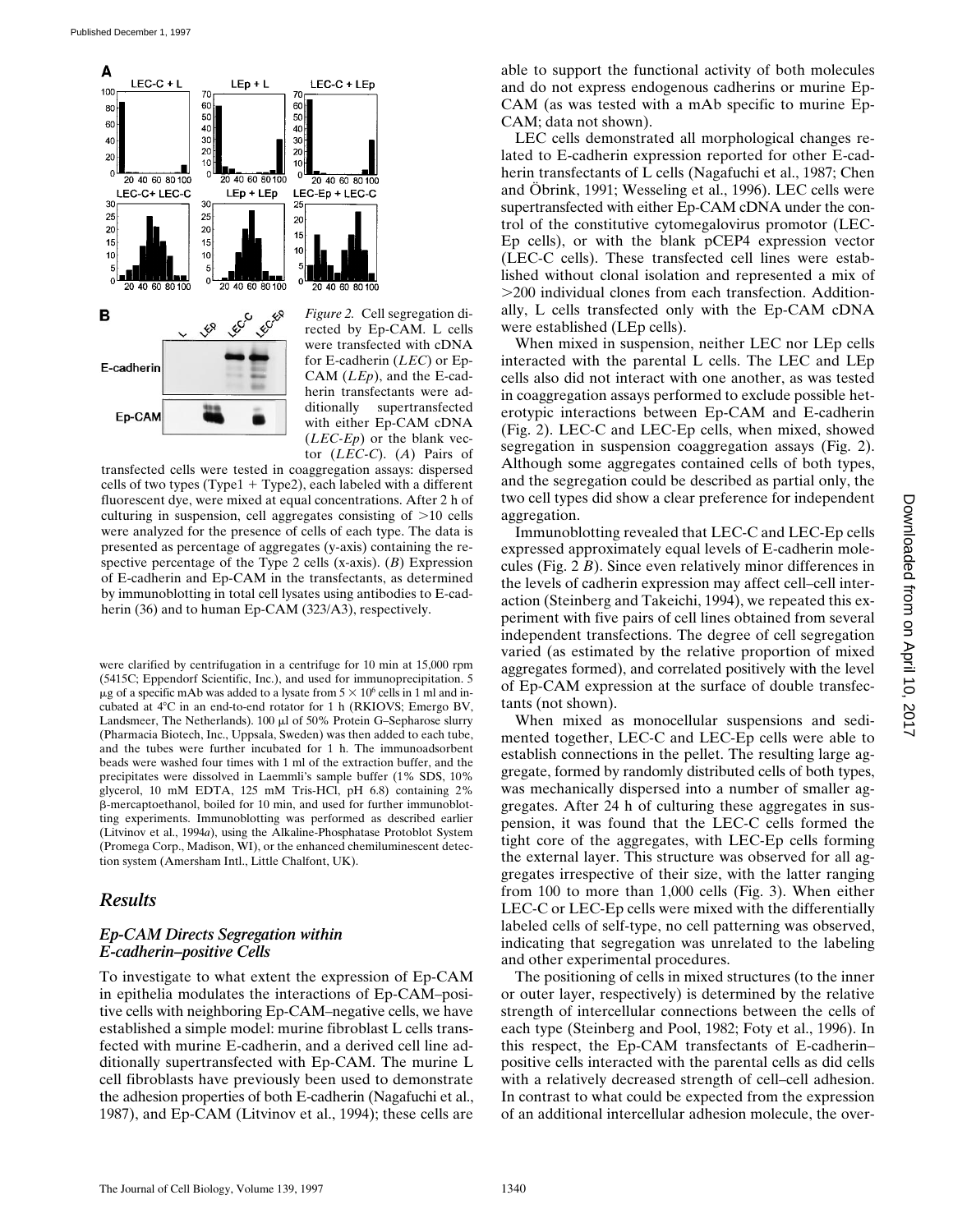

*Figure 2.* Cell segregation directed by Ep-CAM. L cells were transfected with cDNA for E-cadherin (*LEC*) or Ep-CAM (*LEp*), and the E-cadherin transfectants were additionally supertransfected with either Ep-CAM cDNA (*LEC-Ep*) or the blank vector (*LEC-C*). (*A*) Pairs of

transfected cells were tested in coaggregation assays: dispersed cells of two types (Type $1 + Type2$ ), each labeled with a different fluorescent dye, were mixed at equal concentrations. After 2 h of culturing in suspension, cell aggregates consisting of  $>10$  cells were analyzed for the presence of cells of each type. The data is presented as percentage of aggregates (y-axis) containing the respective percentage of the Type 2 cells (x-axis). (*B*) Expression of E-cadherin and Ep-CAM in the transfectants, as determined by immunoblotting in total cell lysates using antibodies to E-cadherin (36) and to human Ep-CAM (323/A3), respectively.

were clarified by centrifugation in a centrifuge for 10 min at 15,000 rpm (5415C; Eppendorf Scientific, Inc.), and used for immunoprecipitation. 5  $\mu$ g of a specific mAb was added to a lysate from  $5 \times 10^6$  cells in 1 ml and incubated at  $4^{\circ}$ C in an end-to-end rotator for 1 h (RKIOVS; Emergo BV, Landsmeer, The Netherlands).  $100 \mu l$  of  $50\%$  Protein G-Sepharose slurry (Pharmacia Biotech, Inc., Uppsala, Sweden) was then added to each tube, and the tubes were further incubated for 1 h. The immunoadsorbent beads were washed four times with 1 ml of the extraction buffer, and the precipitates were dissolved in Laemmli's sample buffer (1% SDS, 10% glycerol, 10 mM EDTA, 125 mM Tris-HCl, pH 6.8) containing 2% b-mercaptoethanol, boiled for 10 min, and used for further immunoblotting experiments. Immunoblotting was performed as described earlier (Litvinov et al., 1994*a*), using the Alkaline-Phosphatase Protoblot System (Promega Corp., Madison, WI), or the enhanced chemiluminescent detection system (Amersham Intl., Little Chalfont, UK).

# *Results*

#### *Ep-CAM Directs Segregation within E-cadherin–positive Cells*

To investigate to what extent the expression of Ep-CAM in epithelia modulates the interactions of Ep-CAM–positive cells with neighboring Ep-CAM–negative cells, we have established a simple model: murine fibroblast L cells transfected with murine E-cadherin, and a derived cell line additionally supertransfected with Ep-CAM. The murine L cell fibroblasts have previously been used to demonstrate the adhesion properties of both E-cadherin (Nagafuchi et al., 1987), and Ep-CAM (Litvinov et al., 1994); these cells are

able to support the functional activity of both molecules and do not express endogenous cadherins or murine Ep-CAM (as was tested with a mAb specific to murine Ep-CAM; data not shown).

LEC cells demonstrated all morphological changes related to E-cadherin expression reported for other E-cadherin transfectants of L cells (Nagafuchi et al., 1987; Chen and Öbrink, 1991; Wesseling et al., 1996). LEC cells were supertransfected with either Ep-CAM cDNA under the control of the constitutive cytomegalovirus promotor (LEC-Ep cells), or with the blank pCEP4 expression vector (LEC-C cells). These transfected cell lines were established without clonal isolation and represented a mix of .200 individual clones from each transfection. Additionally, L cells transfected only with the Ep-CAM cDNA were established (LEp cells).

When mixed in suspension, neither LEC nor LEp cells interacted with the parental L cells. The LEC and LEp cells also did not interact with one another, as was tested in coaggregation assays performed to exclude possible heterotypic interactions between Ep-CAM and E-cadherin (Fig. 2). LEC-C and LEC-Ep cells, when mixed, showed segregation in suspension coaggregation assays (Fig. 2). Although some aggregates contained cells of both types, and the segregation could be described as partial only, the two cell types did show a clear preference for independent aggregation.

Immunoblotting revealed that LEC-C and LEC-Ep cells expressed approximately equal levels of E-cadherin molecules (Fig. 2 *B*). Since even relatively minor differences in the levels of cadherin expression may affect cell–cell interaction (Steinberg and Takeichi, 1994), we repeated this experiment with five pairs of cell lines obtained from several independent transfections. The degree of cell segregation varied (as estimated by the relative proportion of mixed aggregates formed), and correlated positively with the level of Ep-CAM expression at the surface of double transfectants (not shown).

When mixed as monocellular suspensions and sedimented together, LEC-C and LEC-Ep cells were able to establish connections in the pellet. The resulting large aggregate, formed by randomly distributed cells of both types, was mechanically dispersed into a number of smaller aggregates. After 24 h of culturing these aggregates in suspension, it was found that the LEC-C cells formed the tight core of the aggregates, with LEC-Ep cells forming the external layer. This structure was observed for all aggregates irrespective of their size, with the latter ranging from 100 to more than 1,000 cells (Fig. 3). When either LEC-C or LEC-Ep cells were mixed with the differentially labeled cells of self-type, no cell patterning was observed, indicating that segregation was unrelated to the labeling and other experimental procedures.

The positioning of cells in mixed structures (to the inner or outer layer, respectively) is determined by the relative strength of intercellular connections between the cells of each type (Steinberg and Pool, 1982; Foty et al., 1996). In this respect, the Ep-CAM transfectants of E-cadherin– positive cells interacted with the parental cells as did cells with a relatively decreased strength of cell–cell adhesion. In contrast to what could be expected from the expression of an additional intercellular adhesion molecule, the over-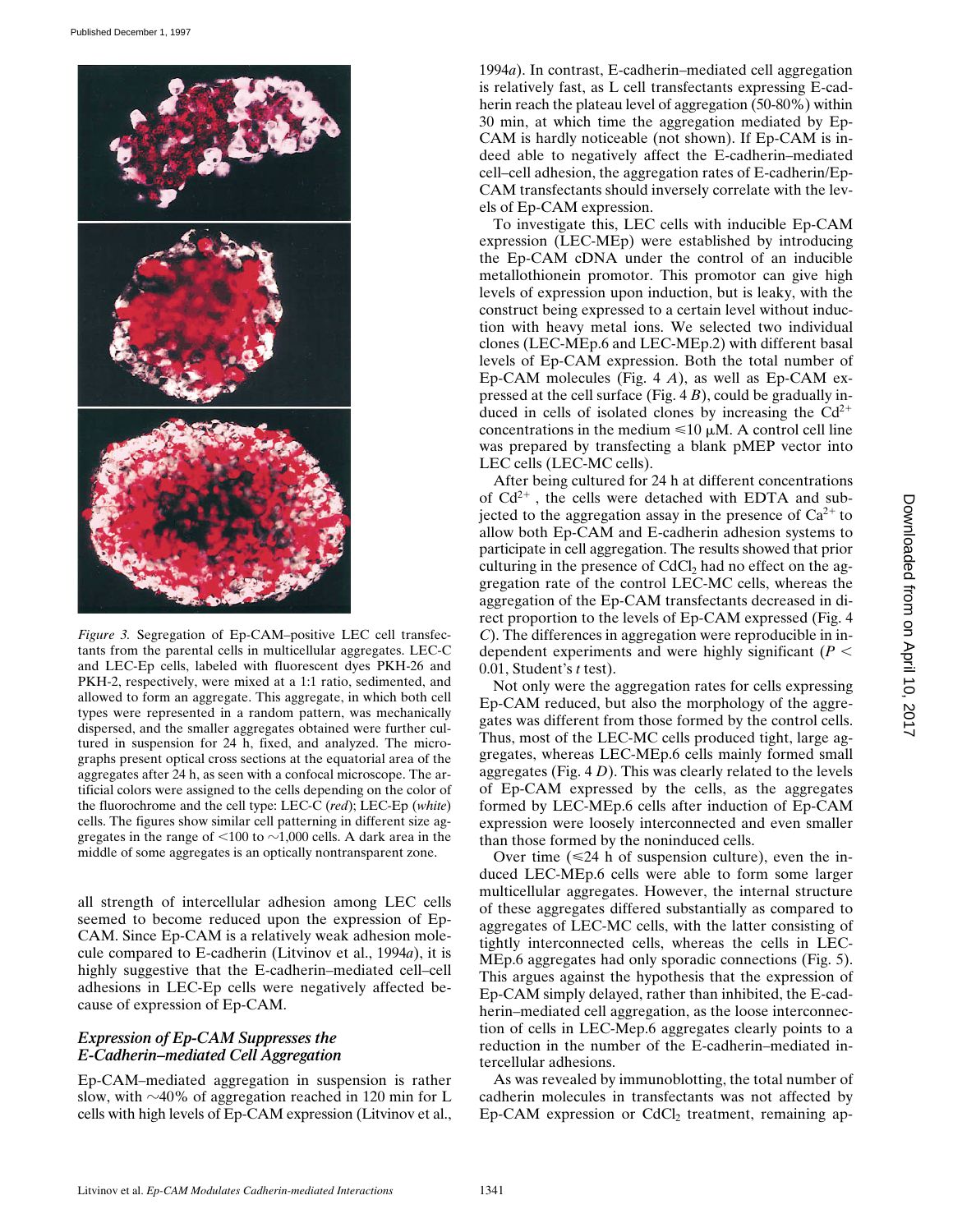

*Figure 3.* Segregation of Ep-CAM–positive LEC cell transfectants from the parental cells in multicellular aggregates. LEC-C and LEC-Ep cells, labeled with fluorescent dyes PKH-26 and PKH-2, respectively, were mixed at a 1:1 ratio, sedimented, and allowed to form an aggregate. This aggregate, in which both cell types were represented in a random pattern, was mechanically dispersed, and the smaller aggregates obtained were further cultured in suspension for 24 h, fixed, and analyzed. The micrographs present optical cross sections at the equatorial area of the aggregates after 24 h, as seen with a confocal microscope. The artificial colors were assigned to the cells depending on the color of the fluorochrome and the cell type: LEC-C (*red*); LEC-Ep (*white*) cells. The figures show similar cell patterning in different size aggregates in the range of  $\leq 100$  to  $\sim 1,000$  cells. A dark area in the middle of some aggregates is an optically nontransparent zone.

all strength of intercellular adhesion among LEC cells seemed to become reduced upon the expression of Ep-CAM. Since Ep-CAM is a relatively weak adhesion molecule compared to E-cadherin (Litvinov et al., 1994*a*), it is highly suggestive that the E-cadherin–mediated cell–cell adhesions in LEC-Ep cells were negatively affected because of expression of Ep-CAM.

#### *Expression of Ep-CAM Suppresses the E-Cadherin–mediated Cell Aggregation*

Ep-CAM–mediated aggregation in suspension is rather slow, with  $\sim$ 40% of aggregation reached in 120 min for L cells with high levels of Ep-CAM expression (Litvinov et al.,

1994*a*). In contrast, E-cadherin–mediated cell aggregation is relatively fast, as L cell transfectants expressing E-cadherin reach the plateau level of aggregation (50-80%) within 30 min, at which time the aggregation mediated by Ep-CAM is hardly noticeable (not shown). If Ep-CAM is indeed able to negatively affect the E-cadherin–mediated cell–cell adhesion, the aggregation rates of E-cadherin/Ep-CAM transfectants should inversely correlate with the levels of Ep-CAM expression.

To investigate this, LEC cells with inducible Ep-CAM expression (LEC-MEp) were established by introducing the Ep-CAM cDNA under the control of an inducible metallothionein promotor. This promotor can give high levels of expression upon induction, but is leaky, with the construct being expressed to a certain level without induction with heavy metal ions. We selected two individual clones (LEC-MEp.6 and LEC-MEp.2) with different basal levels of Ep-CAM expression. Both the total number of Ep-CAM molecules (Fig. 4 *A*), as well as Ep-CAM expressed at the cell surface (Fig. 4 *B*), could be gradually induced in cells of isolated clones by increasing the  $Cd^{2+}$ concentrations in the medium  $\leq 10 \mu M$ . A control cell line was prepared by transfecting a blank pMEP vector into LEC cells (LEC-MC cells).

After being cultured for 24 h at different concentrations of  $Cd^{2+}$ , the cells were detached with EDTA and subjected to the aggregation assay in the presence of  $Ca^{2+}$  to allow both Ep-CAM and E-cadherin adhesion systems to participate in cell aggregation. The results showed that prior culturing in the presence of  $CdCl<sub>2</sub>$  had no effect on the aggregation rate of the control LEC-MC cells, whereas the aggregation of the Ep-CAM transfectants decreased in direct proportion to the levels of Ep-CAM expressed (Fig. 4 *C*). The differences in aggregation were reproducible in independent experiments and were highly significant  $(P <$ 0.01, Student's *t* test).

Not only were the aggregation rates for cells expressing Ep-CAM reduced, but also the morphology of the aggregates was different from those formed by the control cells. Thus, most of the LEC-MC cells produced tight, large aggregates, whereas LEC-MEp.6 cells mainly formed small aggregates (Fig. 4 *D*). This was clearly related to the levels of Ep-CAM expressed by the cells, as the aggregates formed by LEC-MEp.6 cells after induction of Ep-CAM expression were loosely interconnected and even smaller than those formed by the noninduced cells.

Over time  $(\leq 24$  h of suspension culture), even the induced LEC-MEp.6 cells were able to form some larger multicellular aggregates. However, the internal structure of these aggregates differed substantially as compared to aggregates of LEC-MC cells, with the latter consisting of tightly interconnected cells, whereas the cells in LEC-MEp.6 aggregates had only sporadic connections (Fig. 5). This argues against the hypothesis that the expression of Ep-CAM simply delayed, rather than inhibited, the E-cadherin–mediated cell aggregation, as the loose interconnection of cells in LEC-Mep.6 aggregates clearly points to a reduction in the number of the E-cadherin–mediated intercellular adhesions.

As was revealed by immunoblotting, the total number of cadherin molecules in transfectants was not affected by Ep-CAM expression or  $CdCl<sub>2</sub>$  treatment, remaining ap-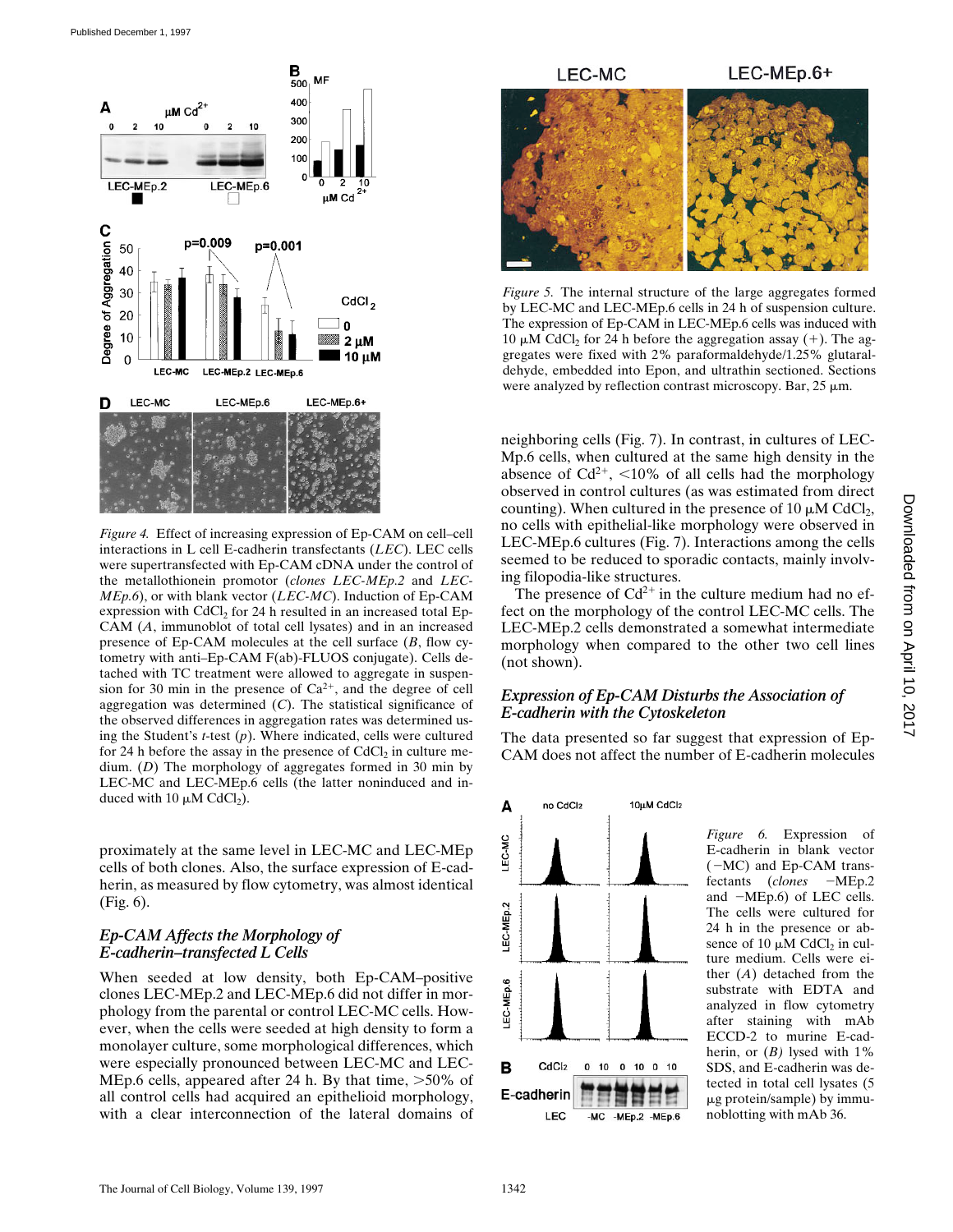

*Figure 4.* Effect of increasing expression of Ep-CAM on cell–cell interactions in L cell E-cadherin transfectants (*LEC*). LEC cells were supertransfected with Ep-CAM cDNA under the control of the metallothionein promotor (*clones LEC-MEp.2* and *LEC-MEp.6*), or with blank vector (*LEC-MC*). Induction of Ep-CAM expression with CdCl<sub>2</sub> for 24 h resulted in an increased total Ep-CAM (*A*, immunoblot of total cell lysates) and in an increased presence of Ep-CAM molecules at the cell surface (*B*, flow cytometry with anti–Ep-CAM F(ab)-FLUOS conjugate). Cells detached with TC treatment were allowed to aggregate in suspension for 30 min in the presence of  $Ca^{2+}$ , and the degree of cell aggregation was determined (*C*). The statistical significance of the observed differences in aggregation rates was determined using the Student's *t*-test (*p*). Where indicated, cells were cultured for 24 h before the assay in the presence of  $CdCl<sub>2</sub>$  in culture medium. (*D*) The morphology of aggregates formed in 30 min by LEC-MC and LEC-MEp.6 cells (the latter noninduced and induced with 10  $\mu$ M CdCl<sub>2</sub>).

proximately at the same level in LEC-MC and LEC-MEp cells of both clones. Also, the surface expression of E-cadherin, as measured by flow cytometry, was almost identical (Fig. 6).

# *Ep-CAM Affects the Morphology of E-cadherin–transfected L Cells*

When seeded at low density, both Ep-CAM–positive clones LEC-MEp.2 and LEC-MEp.6 did not differ in morphology from the parental or control LEC-MC cells. However, when the cells were seeded at high density to form a monolayer culture, some morphological differences, which were especially pronounced between LEC-MC and LEC-MEp.6 cells, appeared after 24 h. By that time,  $>50\%$  of all control cells had acquired an epithelioid morphology, with a clear interconnection of the lateral domains of



*Figure 5.* The internal structure of the large aggregates formed by LEC-MC and LEC-MEp.6 cells in 24 h of suspension culture. The expression of Ep-CAM in LEC-MEp.6 cells was induced with 10  $\mu$ M CdCl<sub>2</sub> for 24 h before the aggregation assay (+). The aggregates were fixed with 2% paraformaldehyde/1.25% glutaraldehyde, embedded into Epon, and ultrathin sectioned. Sections were analyzed by reflection contrast microscopy. Bar,  $25 \mu m$ .

neighboring cells (Fig. 7). In contrast, in cultures of LEC-Mp.6 cells, when cultured at the same high density in the absence of  $Cd^{2+}$ , <10% of all cells had the morphology observed in control cultures (as was estimated from direct counting). When cultured in the presence of 10  $\mu$ M CdCl<sub>2</sub>, no cells with epithelial-like morphology were observed in LEC-MEp.6 cultures (Fig. 7). Interactions among the cells seemed to be reduced to sporadic contacts, mainly involving filopodia-like structures.

The presence of  $Cd^{2+}$  in the culture medium had no effect on the morphology of the control LEC-MC cells. The LEC-MEp.2 cells demonstrated a somewhat intermediate morphology when compared to the other two cell lines (not shown).

# *Expression of Ep-CAM Disturbs the Association of E-cadherin with the Cytoskeleton*

The data presented so far suggest that expression of Ep-CAM does not affect the number of E-cadherin molecules



*Figure 6.* Expression of E-cadherin in blank vector  $(-MC)$  and Ep-CAM transfectants (*clones* -MEp.2 and  $-MEp.6$ ) of LEC cells. The cells were cultured for 24 h in the presence or absence of 10  $\mu$ M CdCl<sub>2</sub> in culture medium. Cells were either (*A*) detached from the substrate with EDTA and analyzed in flow cytometry after staining with mAb ECCD-2 to murine E-cadherin, or  $(B)$  lysed with  $1\%$ SDS, and E-cadherin was detected in total cell lysates (5  $\mu$ g protein/sample) by immunoblotting with mAb 36.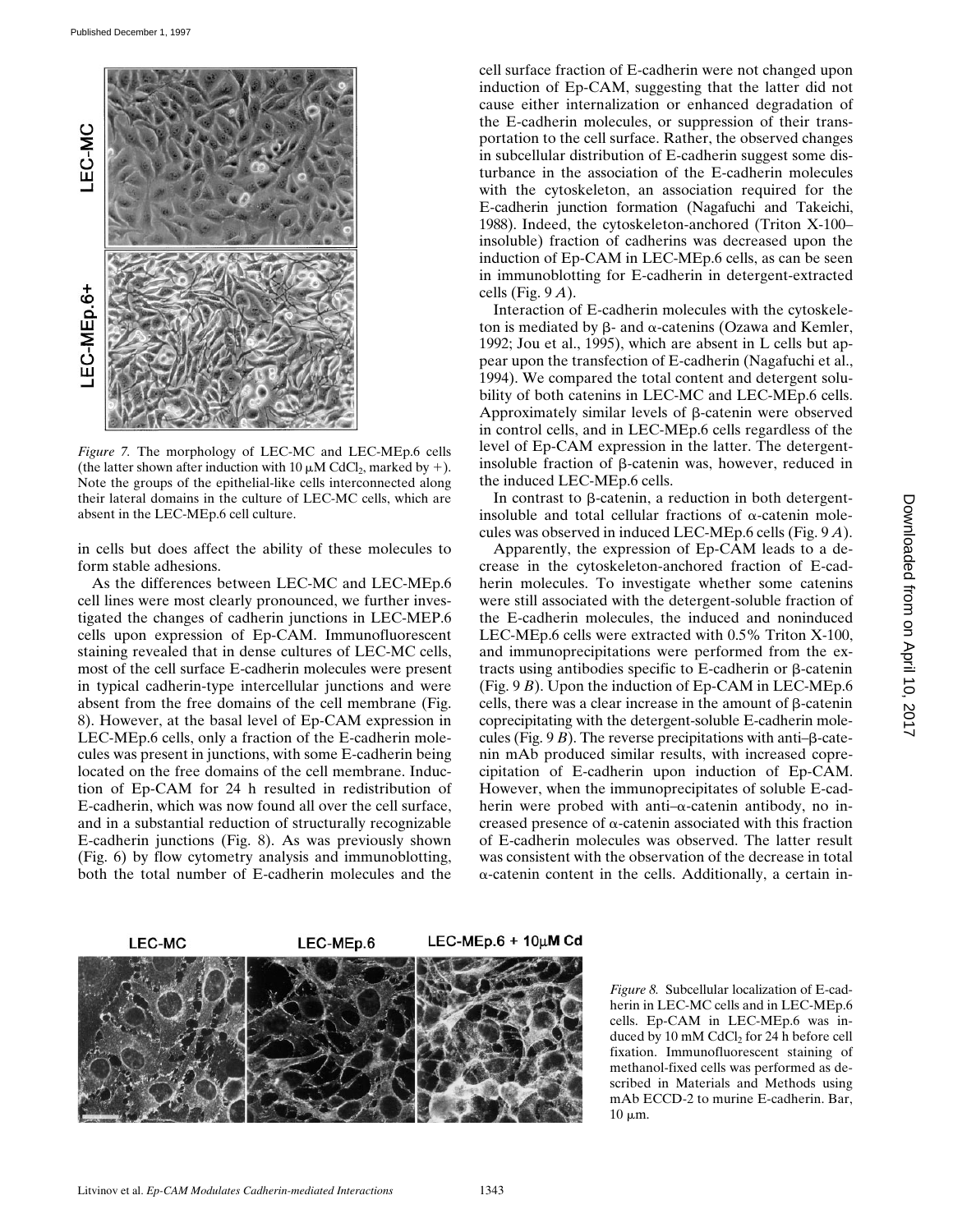

*Figure 7.* The morphology of LEC-MC and LEC-MEp.6 cells (the latter shown after induction with 10  $\mu$ M CdCl<sub>2</sub>, marked by +). Note the groups of the epithelial-like cells interconnected along their lateral domains in the culture of LEC-MC cells, which are absent in the LEC-MEp.6 cell culture.

in cells but does affect the ability of these molecules to form stable adhesions.

As the differences between LEC-MC and LEC-MEp.6 cell lines were most clearly pronounced, we further investigated the changes of cadherin junctions in LEC-MEP.6 cells upon expression of Ep-CAM. Immunofluorescent staining revealed that in dense cultures of LEC-MC cells, most of the cell surface E-cadherin molecules were present in typical cadherin-type intercellular junctions and were absent from the free domains of the cell membrane (Fig. 8). However, at the basal level of Ep-CAM expression in LEC-MEp.6 cells, only a fraction of the E-cadherin molecules was present in junctions, with some E-cadherin being located on the free domains of the cell membrane. Induction of Ep-CAM for 24 h resulted in redistribution of E-cadherin, which was now found all over the cell surface, and in a substantial reduction of structurally recognizable E-cadherin junctions (Fig. 8). As was previously shown (Fig. 6) by flow cytometry analysis and immunoblotting, both the total number of E-cadherin molecules and the

cell surface fraction of E-cadherin were not changed upon induction of Ep-CAM, suggesting that the latter did not cause either internalization or enhanced degradation of the E-cadherin molecules, or suppression of their transportation to the cell surface. Rather, the observed changes in subcellular distribution of E-cadherin suggest some disturbance in the association of the E-cadherin molecules with the cytoskeleton, an association required for the E-cadherin junction formation (Nagafuchi and Takeichi, 1988). Indeed, the cytoskeleton-anchored (Triton X-100– insoluble) fraction of cadherins was decreased upon the induction of Ep-CAM in LEC-MEp.6 cells, as can be seen in immunoblotting for E-cadherin in detergent-extracted cells (Fig. 9 *A*).

Interaction of E-cadherin molecules with the cytoskeleton is mediated by  $\beta$ - and  $\alpha$ -catenins (Ozawa and Kemler, 1992; Jou et al., 1995), which are absent in L cells but appear upon the transfection of E-cadherin (Nagafuchi et al., 1994). We compared the total content and detergent solubility of both catenins in LEC-MC and LEC-MEp.6 cells. Approximately similar levels of  $\beta$ -catenin were observed in control cells, and in LEC-MEp.6 cells regardless of the level of Ep-CAM expression in the latter. The detergentinsoluble fraction of b-catenin was, however, reduced in the induced LEC-MEp.6 cells.

In contrast to  $\beta$ -catenin, a reduction in both detergentinsoluble and total cellular fractions of  $\alpha$ -catenin molecules was observed in induced LEC-MEp.6 cells (Fig. 9 *A*).

Apparently, the expression of Ep-CAM leads to a decrease in the cytoskeleton-anchored fraction of E-cadherin molecules. To investigate whether some catenins were still associated with the detergent-soluble fraction of the E-cadherin molecules, the induced and noninduced LEC-MEp.6 cells were extracted with 0.5% Triton X-100, and immunoprecipitations were performed from the extracts using antibodies specific to  $E$ -cadherin or  $\beta$ -catenin (Fig. 9 *B*). Upon the induction of Ep-CAM in LEC-MEp.6 cells, there was a clear increase in the amount of  $\beta$ -catenin coprecipitating with the detergent-soluble E-cadherin molecules (Fig.  $9B$ ). The reverse precipitations with anti- $\beta$ -catenin mAb produced similar results, with increased coprecipitation of E-cadherin upon induction of Ep-CAM. However, when the immunoprecipitates of soluble E-cadherin were probed with anti- $\alpha$ -catenin antibody, no increased presence of  $\alpha$ -catenin associated with this fraction of E-cadherin molecules was observed. The latter result was consistent with the observation of the decrease in total  $\alpha$ -catenin content in the cells. Additionally, a certain in-



*Figure 8.* Subcellular localization of E-cadherin in LEC-MC cells and in LEC-MEp.6 cells. Ep-CAM in LEC-MEp.6 was induced by 10 mM CdCl<sub>2</sub> for 24 h before cell fixation. Immunofluorescent staining of methanol-fixed cells was performed as described in Materials and Methods using mAb ECCD-2 to murine E-cadherin. Bar,  $10 \mu m$ .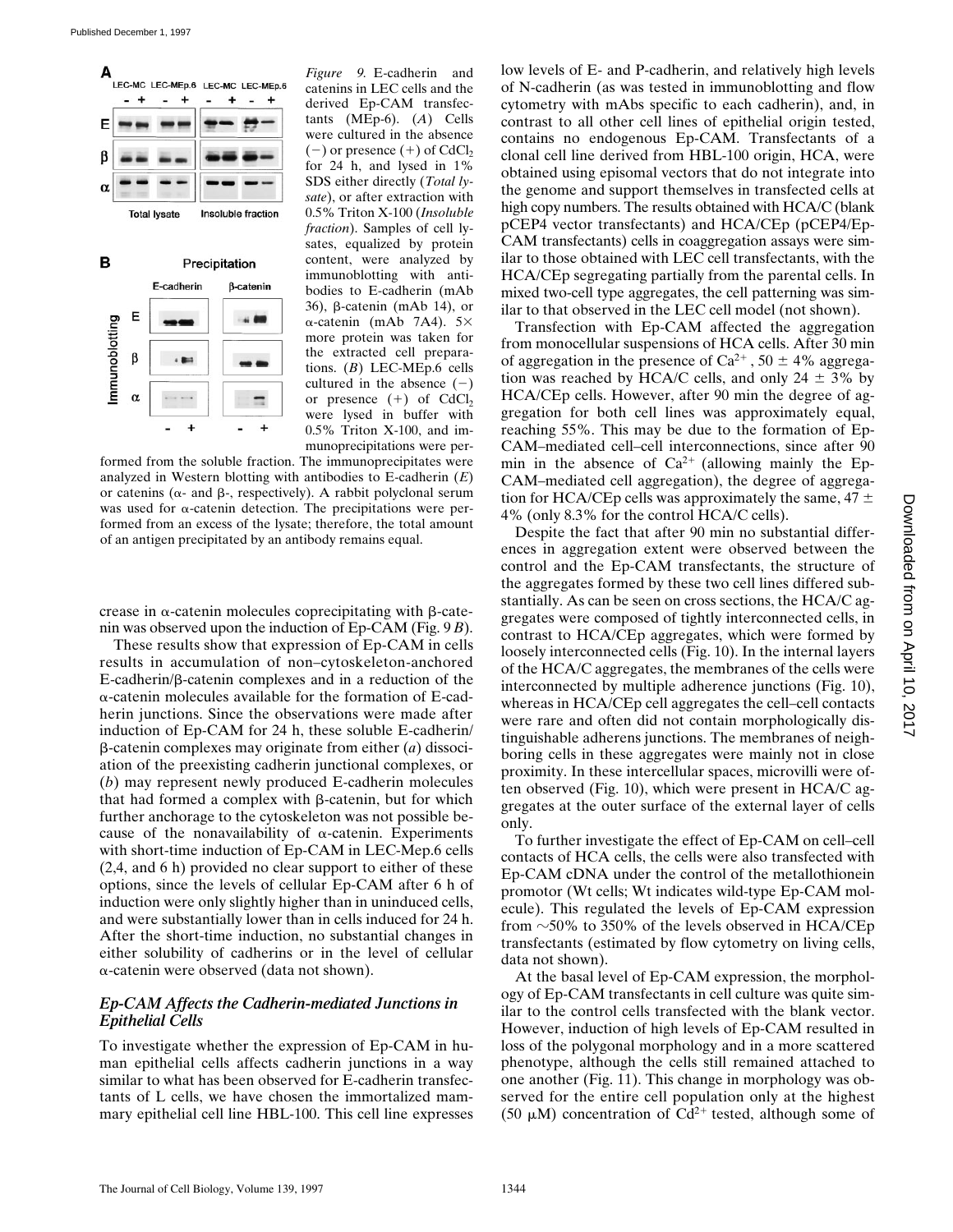

*Figure 9.* E-cadherin and catenins in LEC cells and the derived Ep-CAM transfectants (MEp-6). (*A*) Cells were cultured in the absence  $(-)$  or presence  $(+)$  of CdCl<sub>2</sub> for 24 h, and lysed in 1% SDS either directly (*Total lysate*), or after extraction with 0.5% Triton X-100 (*Insoluble fraction*). Samples of cell lysates, equalized by protein content, were analyzed by immunoblotting with antibodies to E-cadherin (mAb 36),  $\beta$ -catenin (mAb 14), or  $\alpha$ -catenin (mAb 7A4). 5× more protein was taken for the extracted cell preparations. (*B*) LEC-MEp.6 cells cultured in the absence  $(-)$ or presence  $(+)$  of CdCl<sub>2</sub> were lysed in buffer with 0.5% Triton X-100, and immunoprecipitations were per-

formed from the soluble fraction. The immunoprecipitates were analyzed in Western blotting with antibodies to E-cadherin (*E*) or catenins ( $\alpha$ - and  $\beta$ -, respectively). A rabbit polyclonal serum was used for  $\alpha$ -catenin detection. The precipitations were performed from an excess of the lysate; therefore, the total amount of an antigen precipitated by an antibody remains equal.

crease in  $\alpha$ -catenin molecules coprecipitating with  $\beta$ -catenin was observed upon the induction of Ep-CAM (Fig. 9 *B*).

These results show that expression of Ep-CAM in cells results in accumulation of non–cytoskeleton-anchored E-cadherin/b-catenin complexes and in a reduction of the  $\alpha$ -catenin molecules available for the formation of E-cadherin junctions. Since the observations were made after induction of Ep-CAM for 24 h, these soluble E-cadherin/  $\beta$ -catenin complexes may originate from either (*a*) dissociation of the preexisting cadherin junctional complexes, or (*b*) may represent newly produced E-cadherin molecules that had formed a complex with  $\beta$ -catenin, but for which further anchorage to the cytoskeleton was not possible because of the nonavailability of  $\alpha$ -catenin. Experiments with short-time induction of Ep-CAM in LEC-Mep.6 cells (2,4, and 6 h) provided no clear support to either of these options, since the levels of cellular Ep-CAM after 6 h of induction were only slightly higher than in uninduced cells, and were substantially lower than in cells induced for 24 h. After the short-time induction, no substantial changes in either solubility of cadherins or in the level of cellular a-catenin were observed (data not shown).

# *Ep-CAM Affects the Cadherin-mediated Junctions in Epithelial Cells*

To investigate whether the expression of Ep-CAM in human epithelial cells affects cadherin junctions in a way similar to what has been observed for E-cadherin transfectants of L cells, we have chosen the immortalized mammary epithelial cell line HBL-100. This cell line expresses low levels of E- and P-cadherin, and relatively high levels of N-cadherin (as was tested in immunoblotting and flow cytometry with mAbs specific to each cadherin), and, in contrast to all other cell lines of epithelial origin tested, contains no endogenous Ep-CAM. Transfectants of a clonal cell line derived from HBL-100 origin, HCA, were obtained using episomal vectors that do not integrate into the genome and support themselves in transfected cells at high copy numbers. The results obtained with HCA/C (blank pCEP4 vector transfectants) and HCA/CEp (pCEP4/Ep-CAM transfectants) cells in coaggregation assays were similar to those obtained with LEC cell transfectants, with the HCA/CEp segregating partially from the parental cells. In mixed two-cell type aggregates, the cell patterning was similar to that observed in the LEC cell model (not shown).

Transfection with Ep-CAM affected the aggregation from monocellular suspensions of HCA cells. After 30 min of aggregation in the presence of Ca<sup>2+</sup>, 50  $\pm$  4% aggregation was reached by HCA/C cells, and only  $24 \pm 3\%$  by HCA/CEp cells. However, after 90 min the degree of aggregation for both cell lines was approximately equal, reaching 55%. This may be due to the formation of Ep-CAM–mediated cell–cell interconnections, since after 90 min in the absence of  $Ca^{2+}$  (allowing mainly the Ep-CAM–mediated cell aggregation), the degree of aggregation for HCA/CEp cells was approximately the same,  $47 \pm$ 4% (only 8.3% for the control HCA/C cells).

Despite the fact that after 90 min no substantial differences in aggregation extent were observed between the control and the Ep-CAM transfectants, the structure of the aggregates formed by these two cell lines differed substantially. As can be seen on cross sections, the HCA/C aggregates were composed of tightly interconnected cells, in contrast to HCA/CEp aggregates, which were formed by loosely interconnected cells (Fig. 10). In the internal layers of the HCA/C aggregates, the membranes of the cells were interconnected by multiple adherence junctions (Fig. 10), whereas in HCA/CEp cell aggregates the cell–cell contacts were rare and often did not contain morphologically distinguishable adherens junctions. The membranes of neighboring cells in these aggregates were mainly not in close proximity. In these intercellular spaces, microvilli were often observed (Fig. 10), which were present in HCA/C aggregates at the outer surface of the external layer of cells only.

To further investigate the effect of Ep-CAM on cell–cell contacts of HCA cells, the cells were also transfected with Ep-CAM cDNA under the control of the metallothionein promotor (Wt cells; Wt indicates wild-type Ep-CAM molecule). This regulated the levels of Ep-CAM expression from  $\sim$ 50% to 350% of the levels observed in HCA/CEp transfectants (estimated by flow cytometry on living cells, data not shown).

At the basal level of Ep-CAM expression, the morphology of Ep-CAM transfectants in cell culture was quite similar to the control cells transfected with the blank vector. However, induction of high levels of Ep-CAM resulted in loss of the polygonal morphology and in a more scattered phenotype, although the cells still remained attached to one another (Fig. 11). This change in morphology was observed for the entire cell population only at the highest (50  $\mu$ M) concentration of Cd<sup>2+</sup> tested, although some of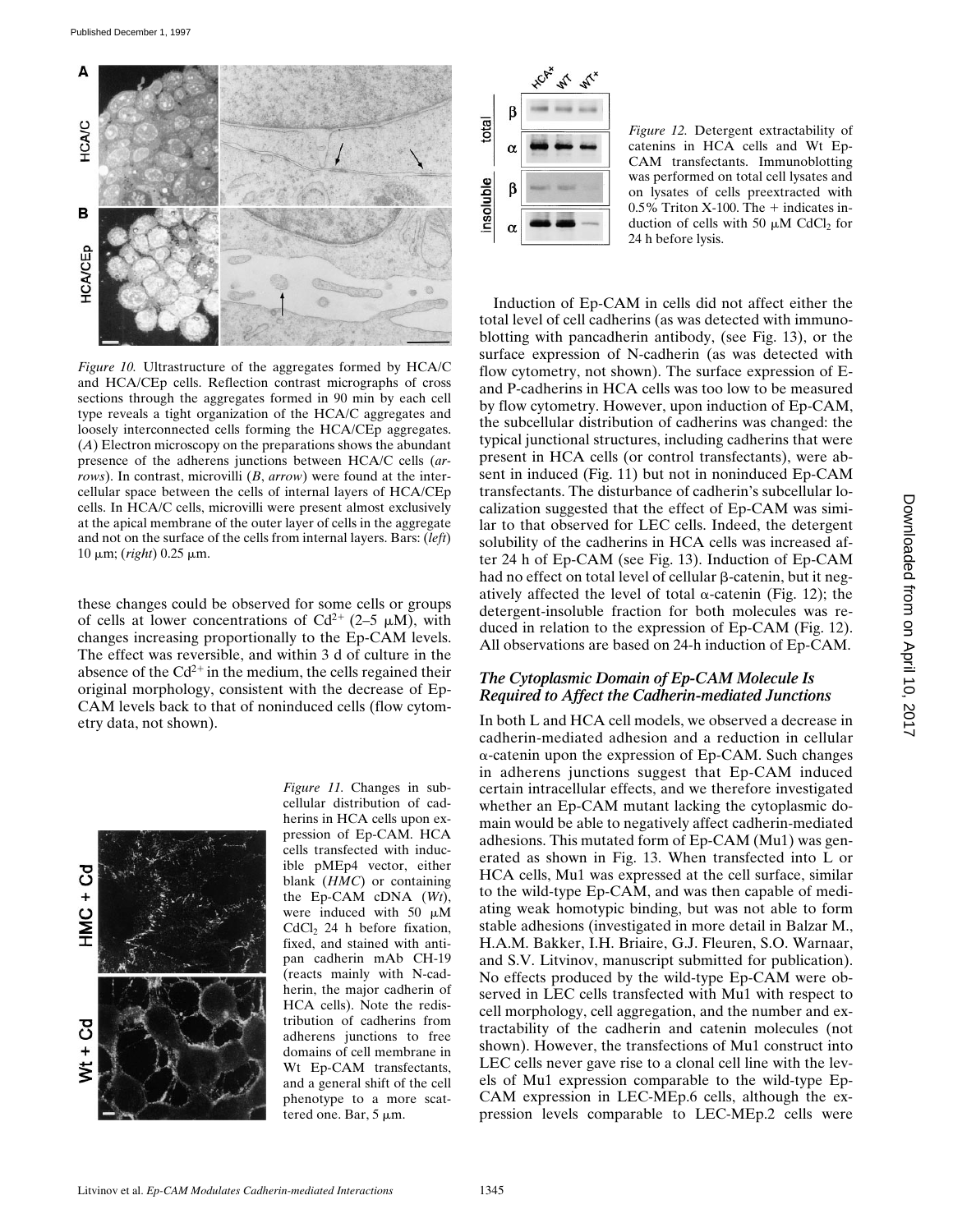

*Figure 10.* Ultrastructure of the aggregates formed by HCA/C and HCA/CEp cells. Reflection contrast micrographs of cross sections through the aggregates formed in 90 min by each cell type reveals a tight organization of the HCA/C aggregates and loosely interconnected cells forming the HCA/CEp aggregates. (*A*) Electron microscopy on the preparations shows the abundant presence of the adherens junctions between HCA/C cells (*arrows*). In contrast, microvilli (*B*, *arrow*) were found at the intercellular space between the cells of internal layers of HCA/CEp cells. In HCA/C cells, microvilli were present almost exclusively at the apical membrane of the outer layer of cells in the aggregate and not on the surface of the cells from internal layers. Bars: (*left*) 10 mm; (*right*) 0.25 mm.

these changes could be observed for some cells or groups of cells at lower concentrations of  $Cd^{2+}$  (2–5  $\mu$ M), with changes increasing proportionally to the Ep-CAM levels. The effect was reversible, and within 3 d of culture in the absence of the  $Cd^{2+}$  in the medium, the cells regained their original morphology, consistent with the decrease of Ep-CAM levels back to that of noninduced cells (flow cytometry data, not shown).



*Figure 11.* Changes in subcellular distribution of cadherins in HCA cells upon expression of Ep-CAM. HCA cells transfected with inducible pMEp4 vector, either blank (*HMC*) or containing the Ep-CAM cDNA (*Wt*), were induced with 50  $\mu$ M CdCl<sub>2</sub> 24 h before fixation, fixed, and stained with antipan cadherin mAb CH-19 (reacts mainly with N-cadherin, the major cadherin of HCA cells). Note the redistribution of cadherins from adherens junctions to free domains of cell membrane in Wt Ep-CAM transfectants, and a general shift of the cell phenotype to a more scattered one. Bar,  $5 \mu m$ .



*Figure 12.* Detergent extractability of catenins in HCA cells and Wt Ep-CAM transfectants. Immunoblotting was performed on total cell lysates and on lysates of cells preextracted with  $0.5\%$  Triton X-100. The  $+$  indicates induction of cells with 50  $\mu$ M CdCl<sub>2</sub> for 24 h before lysis.

Induction of Ep-CAM in cells did not affect either the total level of cell cadherins (as was detected with immunoblotting with pancadherin antibody, (see Fig. 13), or the surface expression of N-cadherin (as was detected with flow cytometry, not shown). The surface expression of Eand P-cadherins in HCA cells was too low to be measured by flow cytometry. However, upon induction of Ep-CAM, the subcellular distribution of cadherins was changed: the typical junctional structures, including cadherins that were present in HCA cells (or control transfectants), were absent in induced (Fig. 11) but not in noninduced Ep-CAM transfectants. The disturbance of cadherin's subcellular localization suggested that the effect of Ep-CAM was similar to that observed for LEC cells. Indeed, the detergent solubility of the cadherins in HCA cells was increased after 24 h of Ep-CAM (see Fig. 13). Induction of Ep-CAM had no effect on total level of cellular  $\beta$ -catenin, but it negatively affected the level of total  $\alpha$ -catenin (Fig. 12); the detergent-insoluble fraction for both molecules was reduced in relation to the expression of Ep-CAM (Fig. 12). All observations are based on 24-h induction of Ep-CAM.

# *The Cytoplasmic Domain of Ep-CAM Molecule Is Required to Affect the Cadherin-mediated Junctions*

In both L and HCA cell models, we observed a decrease in cadherin-mediated adhesion and a reduction in cellular  $\alpha$ -catenin upon the expression of Ep-CAM. Such changes in adherens junctions suggest that Ep-CAM induced certain intracellular effects, and we therefore investigated whether an Ep-CAM mutant lacking the cytoplasmic domain would be able to negatively affect cadherin-mediated adhesions. This mutated form of Ep-CAM (Mu1) was generated as shown in Fig. 13. When transfected into L or HCA cells, Mu1 was expressed at the cell surface, similar to the wild-type Ep-CAM, and was then capable of mediating weak homotypic binding, but was not able to form stable adhesions (investigated in more detail in Balzar M., H.A.M. Bakker, I.H. Briaire, G.J. Fleuren, S.O. Warnaar, and S.V. Litvinov, manuscript submitted for publication). No effects produced by the wild-type Ep-CAM were observed in LEC cells transfected with Mu1 with respect to cell morphology, cell aggregation, and the number and extractability of the cadherin and catenin molecules (not shown). However, the transfections of Mu1 construct into LEC cells never gave rise to a clonal cell line with the levels of Mu1 expression comparable to the wild-type Ep-CAM expression in LEC-MEp.6 cells, although the expression levels comparable to LEC-MEp.2 cells were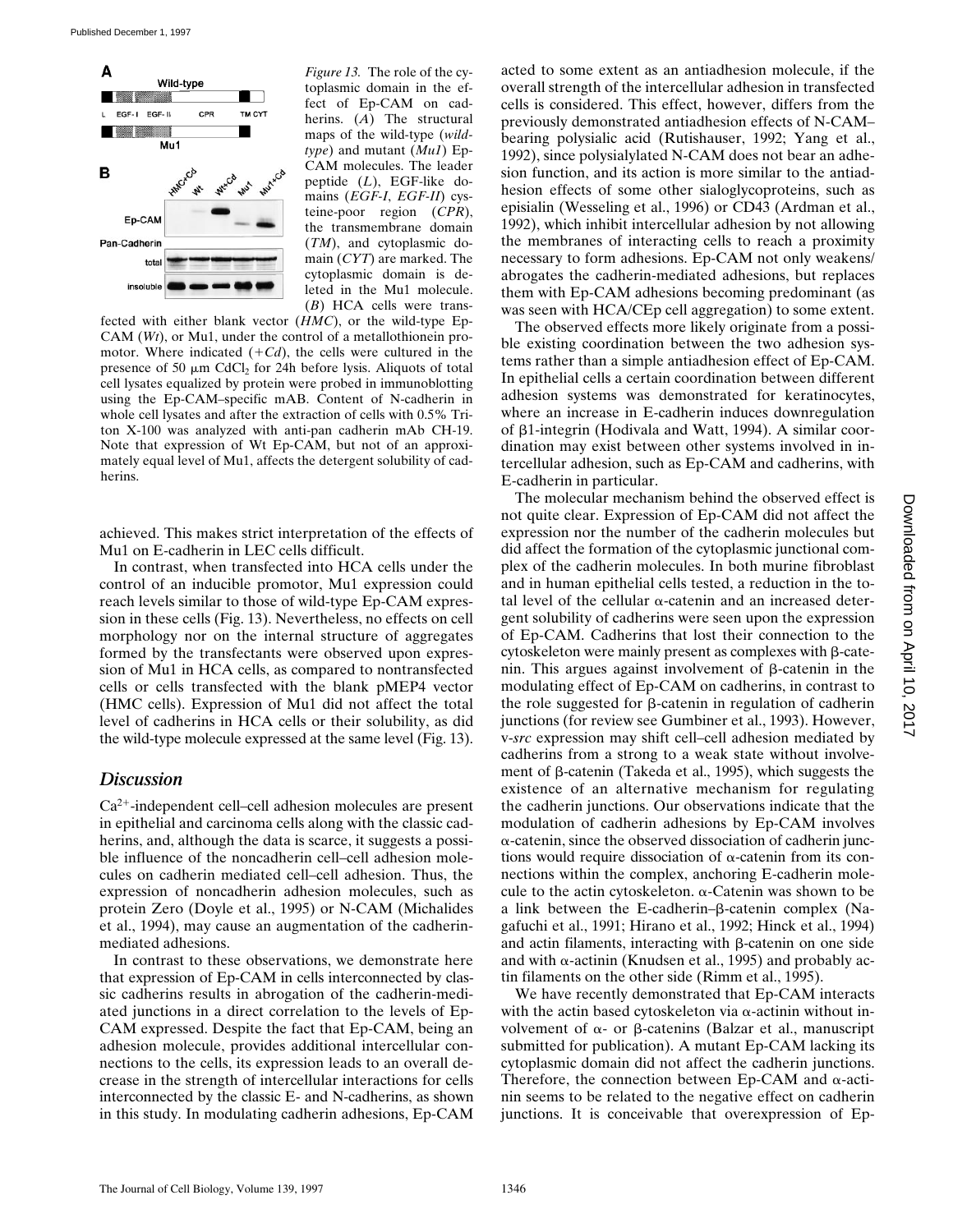

*Figure 13.* The role of the cytoplasmic domain in the effect of Ep-CAM on cadherins. (*A*) The structural maps of the wild-type (*wildtype*) and mutant (*Mu1*) Ep-CAM molecules. The leader peptide (*L*), EGF-like domains (*EGF-I*, *EGF-II*) cysteine-poor region (*CPR*), the transmembrane domain (*TM*), and cytoplasmic domain (*CYT*) are marked. The cytoplasmic domain is deleted in the Mu1 molecule. (*B*) HCA cells were trans-

fected with either blank vector (*HMC*), or the wild-type Ep-CAM (*Wt*), or Mu1, under the control of a metallothionein promotor. Where indicated  $(+Cd)$ , the cells were cultured in the presence of 50  $\mu$ m CdCl<sub>2</sub> for 24h before lysis. Aliquots of total cell lysates equalized by protein were probed in immunoblotting using the Ep-CAM–specific mAB. Content of N-cadherin in whole cell lysates and after the extraction of cells with 0.5% Triton X-100 was analyzed with anti-pan cadherin mAb CH-19. Note that expression of Wt Ep-CAM, but not of an approximately equal level of Mu1, affects the detergent solubility of cadherins.

achieved. This makes strict interpretation of the effects of Mu1 on E-cadherin in LEC cells difficult.

In contrast, when transfected into HCA cells under the control of an inducible promotor, Mu1 expression could reach levels similar to those of wild-type Ep-CAM expression in these cells (Fig. 13). Nevertheless, no effects on cell morphology nor on the internal structure of aggregates formed by the transfectants were observed upon expression of Mu1 in HCA cells, as compared to nontransfected cells or cells transfected with the blank pMEP4 vector (HMC cells). Expression of Mu1 did not affect the total level of cadherins in HCA cells or their solubility, as did the wild-type molecule expressed at the same level (Fig. 13).

#### *Discussion*

 $Ca<sup>2+</sup>$ -independent cell–cell adhesion molecules are present in epithelial and carcinoma cells along with the classic cadherins, and, although the data is scarce, it suggests a possible influence of the noncadherin cell–cell adhesion molecules on cadherin mediated cell–cell adhesion. Thus, the expression of noncadherin adhesion molecules, such as protein Zero (Doyle et al., 1995) or N-CAM (Michalides et al., 1994), may cause an augmentation of the cadherinmediated adhesions.

In contrast to these observations, we demonstrate here that expression of Ep-CAM in cells interconnected by classic cadherins results in abrogation of the cadherin-mediated junctions in a direct correlation to the levels of Ep-CAM expressed. Despite the fact that Ep-CAM, being an adhesion molecule, provides additional intercellular connections to the cells, its expression leads to an overall decrease in the strength of intercellular interactions for cells interconnected by the classic E- and N-cadherins, as shown in this study. In modulating cadherin adhesions, Ep-CAM acted to some extent as an antiadhesion molecule, if the overall strength of the intercellular adhesion in transfected cells is considered. This effect, however, differs from the previously demonstrated antiadhesion effects of N-CAM– bearing polysialic acid (Rutishauser, 1992; Yang et al., 1992), since polysialylated N-CAM does not bear an adhesion function, and its action is more similar to the antiadhesion effects of some other sialoglycoproteins, such as episialin (Wesseling et al., 1996) or CD43 (Ardman et al., 1992), which inhibit intercellular adhesion by not allowing the membranes of interacting cells to reach a proximity necessary to form adhesions. Ep-CAM not only weakens/ abrogates the cadherin-mediated adhesions, but replaces them with Ep-CAM adhesions becoming predominant (as was seen with HCA/CEp cell aggregation) to some extent.

The observed effects more likely originate from a possible existing coordination between the two adhesion systems rather than a simple antiadhesion effect of Ep-CAM. In epithelial cells a certain coordination between different adhesion systems was demonstrated for keratinocytes, where an increase in E-cadherin induces downregulation of b1-integrin (Hodivala and Watt, 1994). A similar coordination may exist between other systems involved in intercellular adhesion, such as Ep-CAM and cadherins, with E-cadherin in particular.

The molecular mechanism behind the observed effect is not quite clear. Expression of Ep-CAM did not affect the expression nor the number of the cadherin molecules but did affect the formation of the cytoplasmic junctional complex of the cadherin molecules. In both murine fibroblast and in human epithelial cells tested, a reduction in the total level of the cellular  $\alpha$ -catenin and an increased detergent solubility of cadherins were seen upon the expression of Ep-CAM. Cadherins that lost their connection to the cytoskeleton were mainly present as complexes with  $\beta$ -catenin. This argues against involvement of  $\beta$ -catenin in the modulating effect of Ep-CAM on cadherins, in contrast to the role suggested for  $\beta$ -catenin in regulation of cadherin junctions (for review see Gumbiner et al., 1993). However, v-*src* expression may shift cell–cell adhesion mediated by cadherins from a strong to a weak state without involvement of  $\beta$ -catenin (Takeda et al., 1995), which suggests the existence of an alternative mechanism for regulating the cadherin junctions. Our observations indicate that the modulation of cadherin adhesions by Ep-CAM involves  $\alpha$ -catenin, since the observed dissociation of cadherin junctions would require dissociation of  $\alpha$ -catenin from its connections within the complex, anchoring E-cadherin molecule to the actin cytoskeleton.  $\alpha$ -Catenin was shown to be a link between the E-cadherin– $\beta$ -catenin complex (Nagafuchi et al., 1991; Hirano et al., 1992; Hinck et al., 1994) and actin filaments, interacting with  $\beta$ -catenin on one side and with  $\alpha$ -actinin (Knudsen et al., 1995) and probably actin filaments on the other side (Rimm et al., 1995).

We have recently demonstrated that Ep-CAM interacts with the actin based cytoskeleton via  $\alpha$ -actinin without involvement of  $\alpha$ - or  $\beta$ -catenins (Balzar et al., manuscript submitted for publication). A mutant Ep-CAM lacking its cytoplasmic domain did not affect the cadherin junctions. Therefore, the connection between Ep-CAM and  $\alpha$ -actinin seems to be related to the negative effect on cadherin junctions. It is conceivable that overexpression of Ep-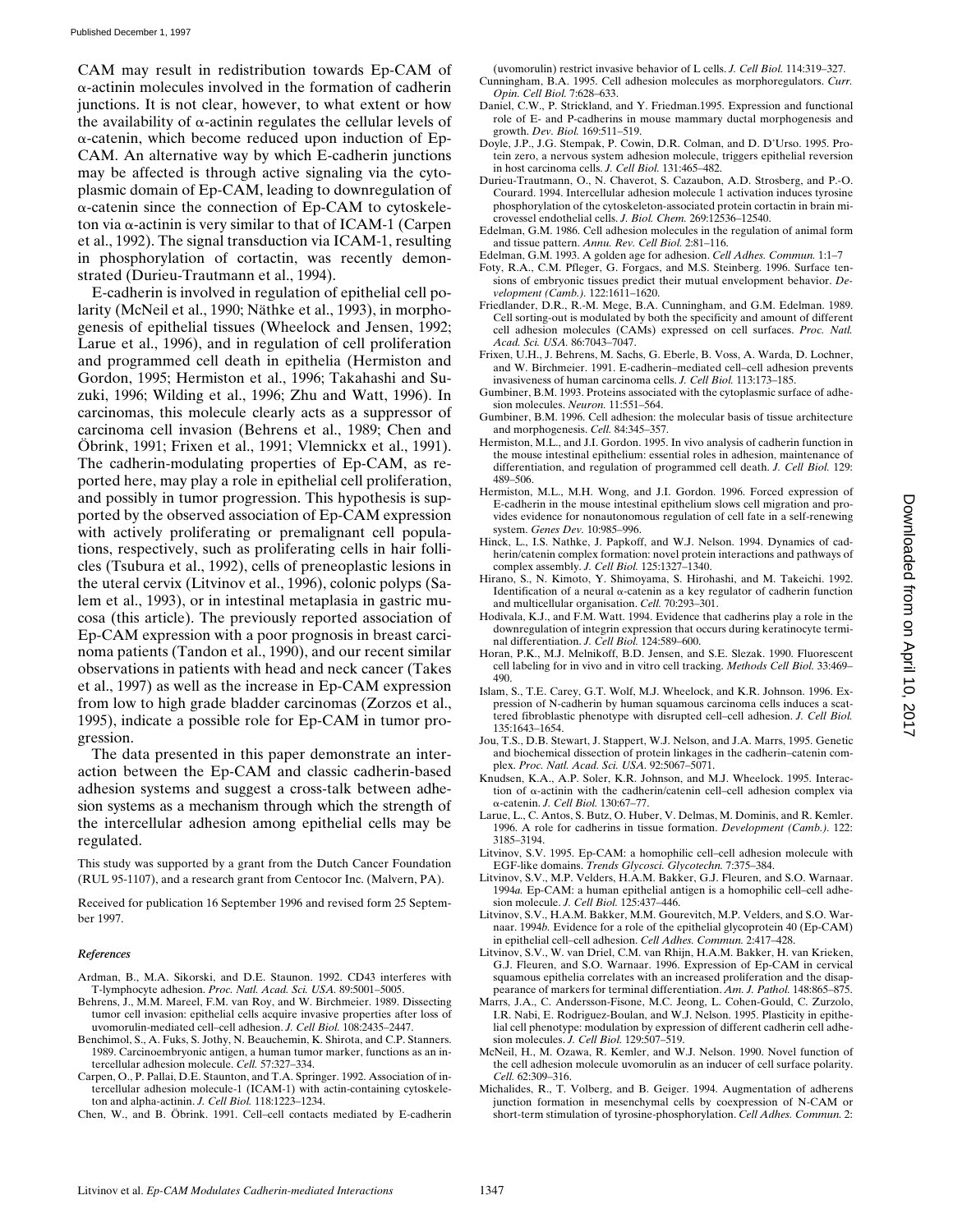CAM may result in redistribution towards Ep-CAM of a-actinin molecules involved in the formation of cadherin junctions. It is not clear, however, to what extent or how the availability of  $\alpha$ -actinin regulates the cellular levels of  $\alpha$ -catenin, which become reduced upon induction of Ep-CAM. An alternative way by which E-cadherin junctions may be affected is through active signaling via the cytoplasmic domain of Ep-CAM, leading to downregulation of  $\alpha$ -catenin since the connection of Ep-CAM to cytoskeleton via  $\alpha$ -actinin is very similar to that of ICAM-1 (Carpen et al., 1992). The signal transduction via ICAM-1, resulting in phosphorylation of cortactin, was recently demonstrated (Durieu-Trautmann et al., 1994).

E-cadherin is involved in regulation of epithelial cell polarity (McNeil et al., 1990; Näthke et al., 1993), in morphogenesis of epithelial tissues (Wheelock and Jensen, 1992; Larue et al., 1996), and in regulation of cell proliferation and programmed cell death in epithelia (Hermiston and Gordon, 1995; Hermiston et al., 1996; Takahashi and Suzuki, 1996; Wilding et al., 1996; Zhu and Watt, 1996). In carcinomas, this molecule clearly acts as a suppressor of carcinoma cell invasion (Behrens et al., 1989; Chen and Öbrink, 1991; Frixen et al., 1991; Vlemnickx et al., 1991). The cadherin-modulating properties of Ep-CAM, as reported here, may play a role in epithelial cell proliferation, and possibly in tumor progression. This hypothesis is supported by the observed association of Ep-CAM expression with actively proliferating or premalignant cell populations, respectively, such as proliferating cells in hair follicles (Tsubura et al., 1992), cells of preneoplastic lesions in the uteral cervix (Litvinov et al., 1996), colonic polyps (Salem et al., 1993), or in intestinal metaplasia in gastric mucosa (this article). The previously reported association of Ep-CAM expression with a poor prognosis in breast carcinoma patients (Tandon et al., 1990), and our recent similar observations in patients with head and neck cancer (Takes et al., 1997) as well as the increase in Ep-CAM expression from low to high grade bladder carcinomas (Zorzos et al., 1995), indicate a possible role for Ep-CAM in tumor progression.

The data presented in this paper demonstrate an interaction between the Ep-CAM and classic cadherin-based adhesion systems and suggest a cross-talk between adhesion systems as a mechanism through which the strength of the intercellular adhesion among epithelial cells may be regulated.

This study was supported by a grant from the Dutch Cancer Foundation (RUL 95-1107), and a research grant from Centocor Inc. (Malvern, PA).

Received for publication 16 September 1996 and revised form 25 September 1997.

#### *References*

- Ardman, B., M.A. Sikorski, and D.E. Staunon. 1992. CD43 interferes with T-lymphocyte adhesion. *Proc. Natl. Acad. Sci. USA.* 89:5001–5005.
- Behrens, J., M.M. Mareel, F.M. van Roy, and W. Birchmeier. 1989. Dissecting tumor cell invasion: epithelial cells acquire invasive properties after loss of uvomorulin-mediated cell–cell adhesion. *J. Cell Biol.* 108:2435–2447.
- Benchimol, S., A. Fuks, S. Jothy, N. Beauchemin, K. Shirota, and C.P. Stanners. 1989. Carcinoembryonic antigen, a human tumor marker, functions as an intercellular adhesion molecule. *Cell.* 57:327–334.
- Carpen, O., P. Pallai, D.E. Staunton, and T.A. Springer. 1992. Association of intercellular adhesion molecule-1 (ICAM-1) with actin-containing cytoskeleton and alpha-actinin. *J. Cell Biol.* 118:1223–1234.
- Chen, W., and B. Öbrink. 1991. Cell–cell contacts mediated by E-cadherin

(uvomorulin) restrict invasive behavior of L cells. *J. Cell Biol.* 114:319–327.

- Cunningham, B.A. 1995. Cell adhesion molecules as morphoregulators. *Curr. Opin. Cell Biol.* 7:628–633.
- Daniel, C.W., P. Strickland, and Y. Friedman.1995. Expression and functional role of E- and P-cadherins in mouse mammary ductal morphogenesis and growth. *Dev. Biol.* 169:511–519.
- Doyle, J.P., J.G. Stempak, P. Cowin, D.R. Colman, and D. D'Urso. 1995. Protein zero, a nervous system adhesion molecule, triggers epithelial reversion in host carcinoma cells. *J. Cell Biol.* 131:465–482.
- Durieu-Trautmann, O., N. Chaverot, S. Cazaubon, A.D. Strosberg, and P.-O. Courard. 1994. Intercellular adhesion molecule 1 activation induces tyrosine phosphorylation of the cytoskeleton-associated protein cortactin in brain microvessel endothelial cells. *J. Biol. Chem.* 269:12536–12540.
- Edelman, G.M. 1986. Cell adhesion molecules in the regulation of animal form and tissue pattern. *Annu. Rev. Cell Biol.* 2:81–116.
- Edelman, G.M. 1993. A golden age for adhesion. *Cell Adhes. Commun.* 1:1–7
- Foty, R.A., C.M. Pfleger, G. Forgacs, and M.S. Steinberg. 1996. Surface tensions of embryonic tissues predict their mutual envelopment behavior. *Development (Camb.).* 122:1611–1620.
- Friedlander, D.R., R.-M. Mege, B.A. Cunningham, and G.M. Edelman. 1989. Cell sorting-out is modulated by both the specificity and amount of different cell adhesion molecules (CAMs) expressed on cell surfaces. *Proc. Natl. Acad. Sci. USA.* 86:7043–7047.
- Frixen, U.H., J. Behrens, M. Sachs, G. Eberle, B. Voss, A. Warda, D. Lochner, and W. Birchmeier. 1991. E-cadherin–mediated cell–cell adhesion prevents invasiveness of human carcinoma cells. *J. Cell Biol.* 113:173–185.
- Gumbiner, B.M. 1993. Proteins associated with the cytoplasmic surface of adhesion molecules. *Neuron.* 11:551–564.
- Gumbiner, B.M. 1996. Cell adhesion: the molecular basis of tissue architecture and morphogenesis. *Cell.* 84:345–357.
- Hermiston, M.L., and J.I. Gordon. 1995. In vivo analysis of cadherin function in the mouse intestinal epithelium: essential roles in adhesion, maintenance of differentiation, and regulation of programmed cell death. *J. Cell Biol.* 129: 489–506.
- Hermiston, M.L., M.H. Wong, and J.I. Gordon. 1996. Forced expression of E-cadherin in the mouse intestinal epithelium slows cell migration and provides evidence for nonautonomous regulation of cell fate in a self-renewing system. *Genes Dev.* 10:985–996.
- Hinck, L., I.S. Nathke, J. Papkoff, and W.J. Nelson. 1994. Dynamics of cadherin/catenin complex formation: novel protein interactions and pathways of complex assembly. *J. Cell Biol.* 125:1327–1340.
- Hirano, S., N. Kimoto, Y. Shimoyama, S. Hirohashi, and M. Takeichi. 1992. Identification of a neural  $\alpha$ -catenin as a key regulator of cadherin function and multicellular organisation. *Cell.* 70:293–301.
- Hodivala, K.J., and F.M. Watt. 1994. Evidence that cadherins play a role in the downregulation of integrin expression that occurs during keratinocyte terminal differentiation. *J. Cell Biol.* 124:589–600.
- Horan, P.K., M.J. Melnikoff, B.D. Jensen, and S.E. Slezak. 1990. Fluorescent cell labeling for in vivo and in vitro cell tracking. *Methods Cell Biol.* 33:469– 490.
- Islam, S., T.E. Carey, G.T. Wolf, M.J. Wheelock, and K.R. Johnson. 1996. Expression of N-cadherin by human squamous carcinoma cells induces a scattered fibroblastic phenotype with disrupted cell–cell adhesion. *J. Cell Biol.* 135:1643–1654.
- Jou, T.S., D.B. Stewart, J. Stappert, W.J. Nelson, and J.A. Marrs, 1995. Genetic and biochemical dissection of protein linkages in the cadherin–catenin complex. *Proc. Natl. Acad. Sci. USA.* 92:5067–5071.
- Knudsen, K.A., A.P. Soler, K.R. Johnson, and M.J. Wheelock. 1995. Interaction of a-actinin with the cadherin/catenin cell–cell adhesion complex via a-catenin. *J. Cell Biol.* 130:67–77.
- Larue, L., C. Antos, S. Butz, O. Huber, V. Delmas, M. Dominis, and R. Kemler. 1996. A role for cadherins in tissue formation. *Development (Camb.).* 122: 3185–3194.
- Litvinov, S.V. 1995. Ep-CAM: a homophilic cell–cell adhesion molecule with EGF-like domains. *Trends Glycosci. Glycotechn.* 7:375–384.
- Litvinov, S.V., M.P. Velders, H.A.M. Bakker, G.J. Fleuren, and S.O. Warnaar. 1994*a.* Ep-CAM: a human epithelial antigen is a homophilic cell–cell adhesion molecule. *J. Cell Biol.* 125:437–446.
- Litvinov, S.V., H.A.M. Bakker, M.M. Gourevitch, M.P. Velders, and S.O. Warnaar. 1994*b.* Evidence for a role of the epithelial glycoprotein 40 (Ep-CAM) in epithelial cell–cell adhesion. *Cell Adhes. Commun.* 2:417–428.
- Litvinov, S.V., W. van Driel, C.M. van Rhijn, H.A.M. Bakker, H. van Krieken, G.J. Fleuren, and S.O. Warnaar. 1996. Expression of Ep-CAM in cervical squamous epithelia correlates with an increased proliferation and the disappearance of markers for terminal differentiation. *Am. J. Pathol.* 148:865–875.
- Marrs, J.A., C. Andersson-Fisone, M.C. Jeong, L. Cohen-Gould, C. Zurzolo, I.R. Nabi, E. Rodriguez-Boulan, and W.J. Nelson. 1995. Plasticity in epithelial cell phenotype: modulation by expression of different cadherin cell adhesion molecules. *J. Cell Biol.* 129:507–519.
- McNeil, H., M. Ozawa, R. Kemler, and W.J. Nelson. 1990. Novel function of the cell adhesion molecule uvomorulin as an inducer of cell surface polarity. *Cell.* 62:309–316.
- Michalides, R., T. Volberg, and B. Geiger. 1994. Augmentation of adherens junction formation in mesenchymal cells by coexpression of N-CAM or short-term stimulation of tyrosine-phosphorylation. *Cell Adhes. Commun.* 2: